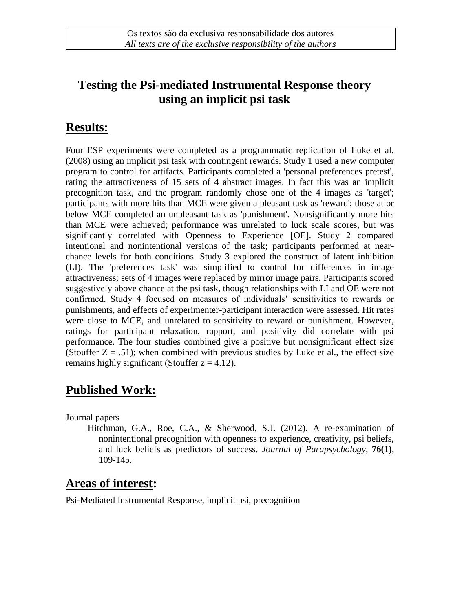#### **Testing the Psi-mediated Instrumental Response theory using an implicit psi task**

#### **Results:**

Four ESP experiments were completed as a programmatic replication of Luke et al. (2008) using an implicit psi task with contingent rewards. Study 1 used a new computer program to control for artifacts. Participants completed a 'personal preferences pretest', rating the attractiveness of 15 sets of 4 abstract images. In fact this was an implicit precognition task, and the program randomly chose one of the 4 images as 'target'; participants with more hits than MCE were given a pleasant task as 'reward'; those at or below MCE completed an unpleasant task as 'punishment'. Nonsignificantly more hits than MCE were achieved; performance was unrelated to luck scale scores, but was significantly correlated with Openness to Experience [OE]. Study 2 compared intentional and nonintentional versions of the task; participants performed at nearchance levels for both conditions. Study 3 explored the construct of latent inhibition (LI). The 'preferences task' was simplified to control for differences in image attractiveness; sets of 4 images were replaced by mirror image pairs. Participants scored suggestively above chance at the psi task, though relationships with LI and OE were not confirmed. Study 4 focused on measures of individuals' sensitivities to rewards or punishments, and effects of experimenter-participant interaction were assessed. Hit rates were close to MCE, and unrelated to sensitivity to reward or punishment. However, ratings for participant relaxation, rapport, and positivity did correlate with psi performance. The four studies combined give a positive but nonsignificant effect size (Stouffer  $Z = .51$ ); when combined with previous studies by Luke et al., the effect size remains highly significant (Stouffer  $z = 4.12$ ).

# **Published Work:**

Journal papers

Hitchman, G.A., Roe, C.A., & Sherwood, S.J. (2012). A re-examination of nonintentional precognition with openness to experience, creativity, psi beliefs, and luck beliefs as predictors of success. *Journal of Parapsychology*, **76(1)**, 109-145.

# **Areas of interest:**

Psi-Mediated Instrumental Response, implicit psi, precognition